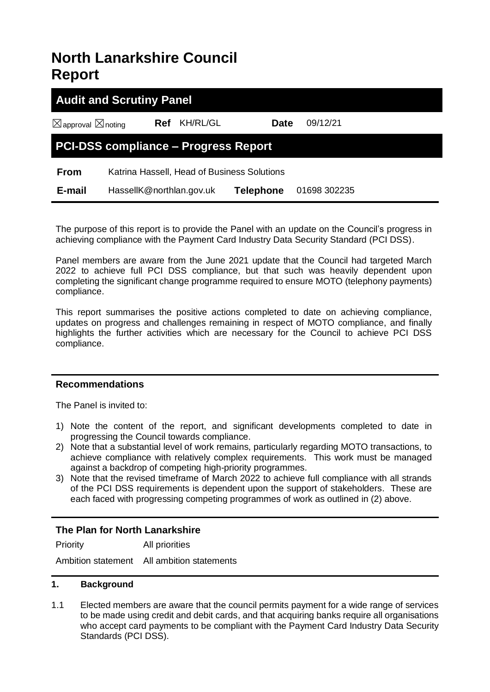# **North Lanarkshire Council Report**

| <b>Audit and Scrutiny Panel</b>             |                          |                                             |                  |              |  |  |  |  |
|---------------------------------------------|--------------------------|---------------------------------------------|------------------|--------------|--|--|--|--|
| $\boxtimes$ approval $\boxtimes$ noting     | <b>Ref</b>               | KH/RL/GL                                    | <b>Date</b>      | 09/12/21     |  |  |  |  |
| <b>PCI-DSS compliance - Progress Report</b> |                          |                                             |                  |              |  |  |  |  |
| <b>From</b>                                 |                          | Katrina Hassell, Head of Business Solutions |                  |              |  |  |  |  |
| E-mail                                      | HassellK@northlan.gov.uk |                                             | <b>Telephone</b> | 01698 302235 |  |  |  |  |

The purpose of this report is to provide the Panel with an update on the Council's progress in achieving compliance with the Payment Card Industry Data Security Standard (PCI DSS).

Panel members are aware from the June 2021 update that the Council had targeted March 2022 to achieve full PCI DSS compliance, but that such was heavily dependent upon completing the significant change programme required to ensure MOTO (telephony payments) compliance.

This report summarises the positive actions completed to date on achieving compliance, updates on progress and challenges remaining in respect of MOTO compliance, and finally highlights the further activities which are necessary for the Council to achieve PCI DSS compliance.

## **Recommendations**

The Panel is invited to:

- 1) Note the content of the report, and significant developments completed to date in progressing the Council towards compliance.
- 2) Note that a substantial level of work remains, particularly regarding MOTO transactions, to achieve compliance with relatively complex requirements. This work must be managed against a backdrop of competing high-priority programmes.
- 3) Note that the revised timeframe of March 2022 to achieve full compliance with all strands of the PCI DSS requirements is dependent upon the support of stakeholders. These are each faced with progressing competing programmes of work as outlined in (2) above.

# **The Plan for North Lanarkshire**

Priority All priorities

Ambition statement All ambition statements

#### **1. Background**

1.1 Elected members are aware that the council permits payment for a wide range of services to be made using credit and debit cards, and that acquiring banks require all organisations who accept card payments to be compliant with the Payment Card Industry Data Security Standards (PCI DSS).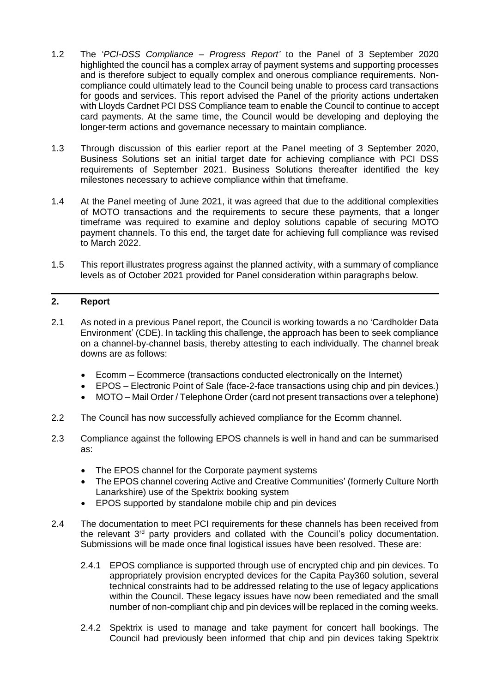- 1.2 The '*PCI-DSS Compliance – Progress Report'* to the Panel of 3 September 2020 highlighted the council has a complex array of payment systems and supporting processes and is therefore subject to equally complex and onerous compliance requirements. Noncompliance could ultimately lead to the Council being unable to process card transactions for goods and services. This report advised the Panel of the priority actions undertaken with Lloyds Cardnet PCI DSS Compliance team to enable the Council to continue to accept card payments. At the same time, the Council would be developing and deploying the longer-term actions and governance necessary to maintain compliance.
- 1.3 Through discussion of this earlier report at the Panel meeting of 3 September 2020, Business Solutions set an initial target date for achieving compliance with PCI DSS requirements of September 2021. Business Solutions thereafter identified the key milestones necessary to achieve compliance within that timeframe.
- 1.4 At the Panel meeting of June 2021, it was agreed that due to the additional complexities of MOTO transactions and the requirements to secure these payments, that a longer timeframe was required to examine and deploy solutions capable of securing MOTO payment channels. To this end, the target date for achieving full compliance was revised to March 2022.
- 1.5 This report illustrates progress against the planned activity, with a summary of compliance levels as of October 2021 provided for Panel consideration within paragraphs below.

## **2. Report**

- 2.1 As noted in a previous Panel report, the Council is working towards a no 'Cardholder Data Environment' (CDE). In tackling this challenge, the approach has been to seek compliance on a channel-by-channel basis, thereby attesting to each individually. The channel break downs are as follows:
	- Ecomm Ecommerce (transactions conducted electronically on the Internet)
	- EPOS Electronic Point of Sale (face-2-face transactions using chip and pin devices.)
	- MOTO Mail Order / Telephone Order (card not present transactions over a telephone)
- 2.2 The Council has now successfully achieved compliance for the Ecomm channel.
- 2.3 Compliance against the following EPOS channels is well in hand and can be summarised as:
	- The EPOS channel for the Corporate payment systems
	- The EPOS channel covering Active and Creative Communities' (formerly Culture North Lanarkshire) use of the Spektrix booking system
	- EPOS supported by standalone mobile chip and pin devices
- 2.4 The documentation to meet PCI requirements for these channels has been received from the relevant 3<sup>rd</sup> party providers and collated with the Council's policy documentation. Submissions will be made once final logistical issues have been resolved. These are:
	- 2.4.1 EPOS compliance is supported through use of encrypted chip and pin devices. To appropriately provision encrypted devices for the Capita Pay360 solution, several technical constraints had to be addressed relating to the use of legacy applications within the Council. These legacy issues have now been remediated and the small number of non-compliant chip and pin devices will be replaced in the coming weeks.
	- 2.4.2 Spektrix is used to manage and take payment for concert hall bookings. The Council had previously been informed that chip and pin devices taking Spektrix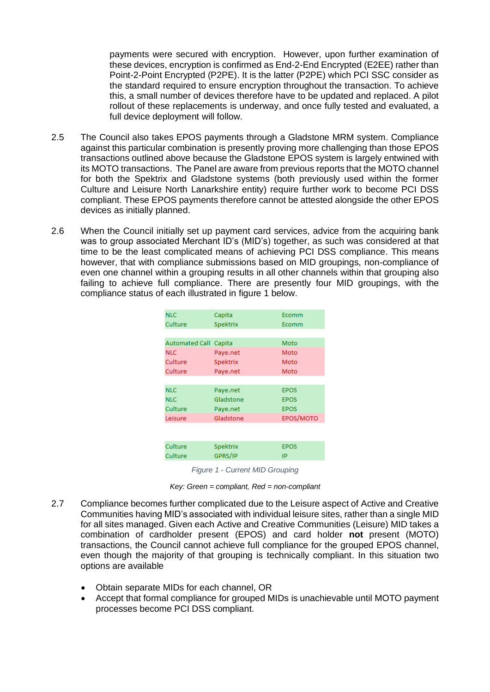payments were secured with encryption. However, upon further examination of these devices, encryption is confirmed as End-2-End Encrypted (E2EE) rather than Point-2-Point Encrypted (P2PE). It is the latter (P2PE) which PCI SSC consider as the standard required to ensure encryption throughout the transaction. To achieve this, a small number of devices therefore have to be updated and replaced. A pilot rollout of these replacements is underway, and once fully tested and evaluated, a full device deployment will follow.

- 2.5 The Council also takes EPOS payments through a Gladstone MRM system. Compliance against this particular combination is presently proving more challenging than those EPOS transactions outlined above because the Gladstone EPOS system is largely entwined with its MOTO transactions. The Panel are aware from previous reports that the MOTO channel for both the Spektrix and Gladstone systems (both previously used within the former Culture and Leisure North Lanarkshire entity) require further work to become PCI DSS compliant. These EPOS payments therefore cannot be attested alongside the other EPOS devices as initially planned.
- 2.6 When the Council initially set up payment card services, advice from the acquiring bank was to group associated Merchant ID's (MID's) together, as such was considered at that time to be the least complicated means of achieving PCI DSS compliance. This means however, that with compliance submissions based on MID groupings, non-compliance of even one channel within a grouping results in all other channels within that grouping also failing to achieve full compliance. There are presently four MID groupings, with the compliance status of each illustrated in figure 1 below.

| <b>NLC</b>            | Capita    | Ecomm       |
|-----------------------|-----------|-------------|
| Culture               | Spektrix  | Ecomm       |
|                       |           |             |
| <b>Automated Call</b> | Capita    | Moto        |
| <b>NLC</b>            | Paye.net  | Moto        |
| Culture               | Spektrix  | Moto        |
| Culture               | Paye.net  | Moto        |
|                       |           |             |
| <b>NLC</b>            | Paye.net  | <b>EPOS</b> |
| <b>NLC</b>            | Gladstone | <b>EPOS</b> |
| Culture               | Paye.net  | <b>EPOS</b> |
| Leisure               | Gladstone | EPOS/MOTO   |
|                       |           |             |
|                       |           |             |
| Culture               | Spektrix  | <b>EPOS</b> |
| Culture               | GPRS/IP   | IP          |

*Figure 1 - Current MID Grouping*

*Key: Green = compliant, Red = non-compliant*

- 2.7 Compliance becomes further complicated due to the Leisure aspect of Active and Creative Communities having MID's associated with individual leisure sites, rather than a single MID for all sites managed. Given each Active and Creative Communities (Leisure) MID takes a combination of cardholder present (EPOS) and card holder **not** present (MOTO) transactions, the Council cannot achieve full compliance for the grouped EPOS channel, even though the majority of that grouping is technically compliant. In this situation two options are available
	- Obtain separate MIDs for each channel, OR
	- Accept that formal compliance for grouped MIDs is unachievable until MOTO payment processes become PCI DSS compliant.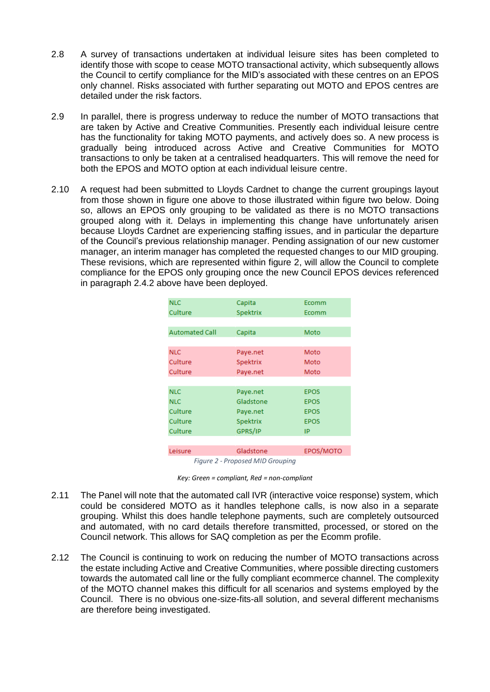- 2.8 A survey of transactions undertaken at individual leisure sites has been completed to identify those with scope to cease MOTO transactional activity, which subsequently allows the Council to certify compliance for the MID's associated with these centres on an EPOS only channel. Risks associated with further separating out MOTO and EPOS centres are detailed under the risk factors.
- 2.9 In parallel, there is progress underway to reduce the number of MOTO transactions that are taken by Active and Creative Communities. Presently each individual leisure centre has the functionality for taking MOTO payments, and actively does so. A new process is gradually being introduced across Active and Creative Communities for MOTO transactions to only be taken at a centralised headquarters. This will remove the need for both the EPOS and MOTO option at each individual leisure centre.
- 2.10 A request had been submitted to Lloyds Cardnet to change the current groupings layout from those shown in figure one above to those illustrated within figure two below. Doing so, allows an EPOS only grouping to be validated as there is no MOTO transactions grouped along with it. Delays in implementing this change have unfortunately arisen because Lloyds Cardnet are experiencing staffing issues, and in particular the departure of the Council's previous relationship manager. Pending assignation of our new customer manager, an interim manager has completed the requested changes to our MID grouping. These revisions, which are represented within figure 2, will allow the Council to complete compliance for the EPOS only grouping once the new Council EPOS devices referenced in paragraph 2.4.2 above have been deployed.

| <b>NLC</b>                       | Capita    | Ecomm       |  |  |  |
|----------------------------------|-----------|-------------|--|--|--|
| Culture                          | Spektrix  | Ecomm       |  |  |  |
|                                  |           |             |  |  |  |
| <b>Automated Call</b>            | Capita    | Moto        |  |  |  |
|                                  |           |             |  |  |  |
| <b>NLC</b>                       | Paye.net  | Moto        |  |  |  |
| Culture                          | Spektrix  | Moto        |  |  |  |
| Culture                          | Paye.net  | Moto        |  |  |  |
|                                  |           |             |  |  |  |
| <b>NLC</b>                       | Paye.net  | <b>EPOS</b> |  |  |  |
| <b>NLC</b>                       | Gladstone | <b>EPOS</b> |  |  |  |
| Culture                          | Paye.net  | <b>EPOS</b> |  |  |  |
| Culture                          | Spektrix  | <b>EPOS</b> |  |  |  |
| Culture                          | GPRS/IP   | IP          |  |  |  |
|                                  |           |             |  |  |  |
| Leisure                          | Gladstone | EPOS/MOTO   |  |  |  |
| Figure 2 - Proposed MID Grouping |           |             |  |  |  |

- 2.11 The Panel will note that the automated call IVR (interactive voice response) system, which could be considered MOTO as it handles telephone calls, is now also in a separate grouping. Whilst this does handle telephone payments, such are completely outsourced and automated, with no card details therefore transmitted, processed, or stored on the Council network. This allows for SAQ completion as per the Ecomm profile.
- 2.12 The Council is continuing to work on reducing the number of MOTO transactions across the estate including Active and Creative Communities, where possible directing customers towards the automated call line or the fully compliant ecommerce channel. The complexity of the MOTO channel makes this difficult for all scenarios and systems employed by the Council. There is no obvious one-size-fits-all solution, and several different mechanisms are therefore being investigated.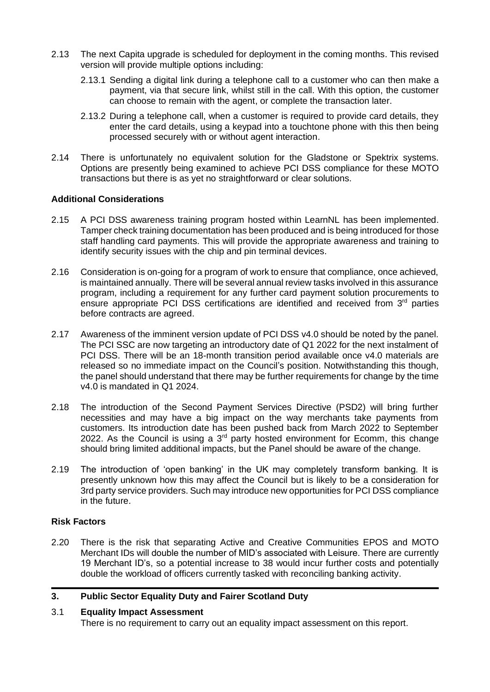- 2.13 The next Capita upgrade is scheduled for deployment in the coming months. This revised version will provide multiple options including:
	- 2.13.1 Sending a digital link during a telephone call to a customer who can then make a payment, via that secure link, whilst still in the call. With this option, the customer can choose to remain with the agent, or complete the transaction later.
	- 2.13.2 During a telephone call, when a customer is required to provide card details, they enter the card details, using a keypad into a touchtone phone with this then being processed securely with or without agent interaction.
- 2.14 There is unfortunately no equivalent solution for the Gladstone or Spektrix systems. Options are presently being examined to achieve PCI DSS compliance for these MOTO transactions but there is as yet no straightforward or clear solutions.

## **Additional Considerations**

- 2.15 A PCI DSS awareness training program hosted within LearnNL has been implemented. Tamper check training documentation has been produced and is being introduced for those staff handling card payments. This will provide the appropriate awareness and training to identify security issues with the chip and pin terminal devices.
- 2.16 Consideration is on-going for a program of work to ensure that compliance, once achieved, is maintained annually. There will be several annual review tasks involved in this assurance program, including a requirement for any further card payment solution procurements to ensure appropriate PCI DSS certifications are identified and received from 3<sup>rd</sup> parties before contracts are agreed.
- 2.17 Awareness of the imminent version update of PCI DSS v4.0 should be noted by the panel. The PCI SSC are now targeting an introductory date of Q1 2022 for the next instalment of PCI DSS. There will be an 18-month transition period available once v4.0 materials are released so no immediate impact on the Council's position. Notwithstanding this though, the panel should understand that there may be further requirements for change by the time v4.0 is mandated in Q1 2024.
- 2.18 The introduction of the Second Payment Services Directive (PSD2) will bring further necessities and may have a big impact on the way merchants take payments from customers. Its introduction date has been pushed back from March 2022 to September 2022. As the Council is using a  $3<sup>rd</sup>$  party hosted environment for Ecomm, this change should bring limited additional impacts, but the Panel should be aware of the change.
- 2.19 The introduction of 'open banking' in the UK may completely transform banking. It is presently unknown how this may affect the Council but is likely to be a consideration for 3rd party service providers. Such may introduce new opportunities for PCI DSS compliance in the future.

## **Risk Factors**

2.20 There is the risk that separating Active and Creative Communities EPOS and MOTO Merchant IDs will double the number of MID's associated with Leisure. There are currently 19 Merchant ID's, so a potential increase to 38 would incur further costs and potentially double the workload of officers currently tasked with reconciling banking activity.

# **3. Public Sector Equality Duty and Fairer Scotland Duty**

## 3.1 **Equality Impact Assessment**

There is no requirement to carry out an equality impact assessment on this report.